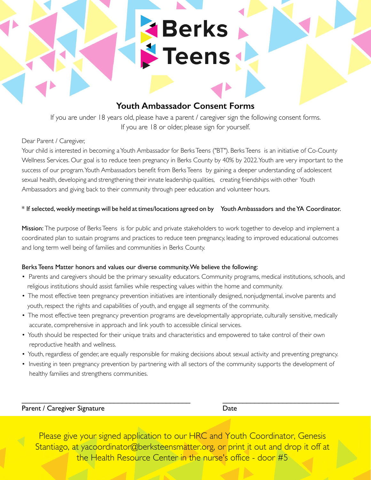## **Youth Ambassador Consent Forms**

**Experts** 

If you are under 18 years old, please have a parent / caregiver sign the following consent forms. If you are 18 or older, please sign for yourself.

#### Dear Parent / Caregiver,

Your child is interested in becoming a Youth Ambassador for Berks Teens ("BT"). Berks Teens is an initiative of Co-County Wellness Services. Our goal is to reduce teen pregnancy in Berks County by 40% by 2022. Youth are very important to the success of our program. Youth Ambassadors benefit from Berks Teens by gaining a deeper understanding of adolescent sexual health, developing and strengthening their innate leadership qualities, creating friendships with other Youth Ambassadors and giving back to their community through peer education and volunteer hours.

#### \* If selected, weekly meetings will be held at times/locations agreed on by Youth Ambassadors and the YA Coordinator.

Mission: The purpose of Berks Teens is for public and private stakeholders to work together to develop and implement a coordinated plan to sustain programs and practices to reduce teen pregnancy, leading to improved educational outcomes and long term well being of families and communities in Berks County.

#### Berks Teens Matter honors and values our diverse community. We believe the following:

- Parents and caregivers should be the primary sexuality educators. Community programs, medical institutions, schools, and religious institutions should assist families while respecting values within the home and community.
- The most effective teen pregnancy prevention initiatives are intentionally designed, nonjudgmental, involve parents and youth, respect the rights and capabilities of youth, and engage all segments of the community.
- The most effective teen pregnancy prevention programs are developmentally appropriate, culturally sensitive, medically accurate, comprehensive in approach and link youth to accessible clinical services.
- Youth should be respected for their unique traits and characteristics and empowered to take control of their own reproductive health and wellness.
- Youth, regardless of gender, are equally responsible for making decisions about sexual activity and preventing pregnancy.
- Investing in teen pregnancy prevention by partnering with all sectors of the community supports the development of healthy families and strengthens communities.

 $\mathcal{L}_\text{max}$  , and the contribution of the contribution of the contribution of the contribution of the contribution of the contribution of the contribution of the contribution of the contribution of the contribution of t

Parent / Caregiver Signature Date

Please give your signed application to our HRC and Youth Coordinator, Genesis Stantiago, at yacoordinator@berksteensmatter.org, or print it out and drop it off at the Health Resource Center in the nurse's office - door #5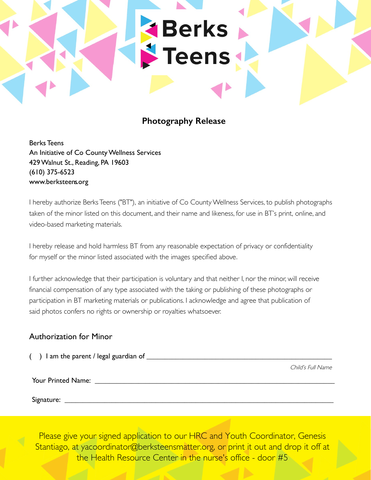# **Photography Release**

**Experts** 

Berks Teens An Initiative of Co County Wellness Services 429 Walnut St., Reading, PA 19603 (610) 375-6523 www.berksteens.org

I hereby authorize Berks Teens ("BT"), an initiative of Co County Wellness Services, to publish photographs taken of the minor listed on this document, and their name and likeness, for use in BT's print, online, and video-based marketing materials.

I hereby release and hold harmless BT from any reasonable expectation of privacy or confidentiality for myself or the minor listed associated with the images specified above.

I further acknowledge that their participation is voluntary and that neither I, nor the minor, will receive financial compensation of any type associated with the taking or publishing of these photographs or participation in BT marketing materials or publications. I acknowledge and agree that publication of said photos confers no rights or ownership or royalties whatsoever.

### Authorization for Minor

| I am the parent / legal guardian of _ |                   |
|---------------------------------------|-------------------|
|                                       | Child's Full Name |
| Your Printed Name:                    |                   |
|                                       |                   |
| Signature:                            |                   |

Please give your signed application to our HRC and Youth Coordinator, Genesis Stantiago, at yacoordinator@berksteensmatter.org, or print it out and drop it off at the Health Resource Center in the nurse's office - door #5